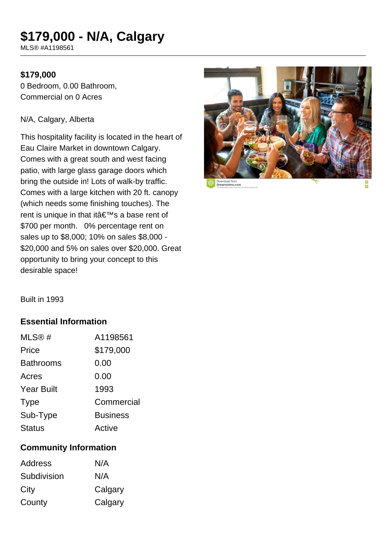# **\$179,000 - N/A, Calgary**

MLS® #A1198561

#### **\$179,000**

0 Bedroom, 0.00 Bathroom, Commercial on 0 Acres

#### N/A, Calgary, Alberta

This hospitality facility is located in the heart of Eau Claire Market in downtown Calgary. Comes with a great south and west facing patio, with large glass garage doors which bring the outside in! Lots of walk-by traffic. Comes with a large kitchen with 20 ft. canopy (which needs some finishing touches). The rent is unique in that it's a base rent of \$700 per month. 0% percentage rent on sales up to \$8,000; 10% on sales \$8,000 - \$20,000 and 5% on sales over \$20,000. Great opportunity to bring your concept to this desirable space!



Built in 1993

## **Essential Information**

| MLS@#             | A1198561        |
|-------------------|-----------------|
| Price             | \$179,000       |
| <b>Bathrooms</b>  | 0.00            |
| Acres             | 0.00            |
| <b>Year Built</b> | 1993            |
| <b>Type</b>       | Commercial      |
| Sub-Type          | <b>Business</b> |
| <b>Status</b>     | Active          |

## **Community Information**

| Address     | N/A     |
|-------------|---------|
| Subdivision | N/A     |
| City        | Calgary |
| County      | Calgary |